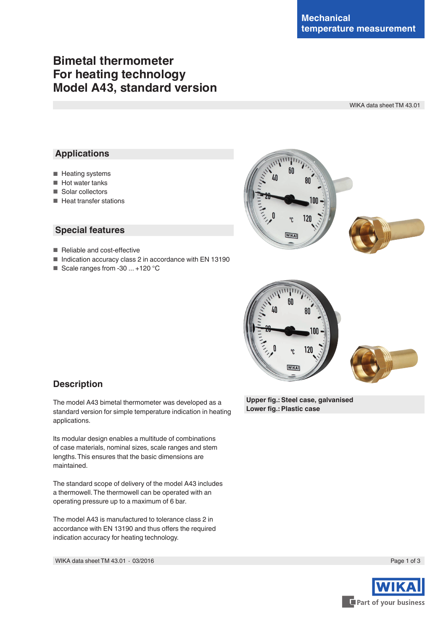# **Bimetal thermometer For heating technology Model A43, standard version**

WIKA data sheet TM 43.01

### **Applications**

- Heating systems
- Hot water tanks
- Solar collectors
- Heat transfer stations

#### **Special features**

- Reliable and cost-effective
- Indication accuracy class 2 in accordance with EN 13190
- Scale ranges from -30 ... +120 °C





### **Description**

The model A43 bimetal thermometer was developed as a standard version for simple temperature indication in heating applications.

Its modular design enables a multitude of combinations of case materials, nominal sizes, scale ranges and stem lengths. This ensures that the basic dimensions are maintained.

The standard scope of delivery of the model A43 includes a thermowell. The thermowell can be operated with an operating pressure up to a maximum of 6 bar.

The model A43 is manufactured to tolerance class 2 in accordance with EN 13190 and thus offers the required indication accuracy for heating technology.

WIKA data sheet TM 43.01 ⋅ 03/2016 Page 1 of 3

**Upper fig.: Steel case, galvanised Lower fig.: Plastic case**

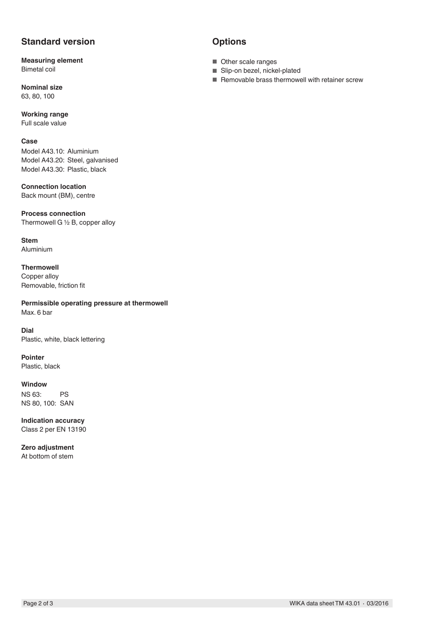## **Standard version**

**Measuring element** Bimetal coil

**Nominal size** 63, 80, 100

**Working range** Full scale value

#### **Case**

Model A43.10: Aluminium Model A43.20: Steel, galvanised Model A43.30: Plastic, black

**Connection location** Back mount (BM), centre

**Process connection** Thermowell G ½ B, copper alloy

**Stem** Aluminium

**Thermowell** Copper alloy Removable, friction fit

**Permissible operating pressure at thermowell** Max. 6 bar

**Dial** Plastic, white, black lettering

**Pointer** Plastic, black

**Window** NS 63: PS NS 80, 100: SAN

**Indication accuracy** Class 2 per EN 13190

**Zero adjustment**

At bottom of stem

## **Options**

- Other scale ranges
- Slip-on bezel, nickel-plated
- Removable brass thermowell with retainer screw